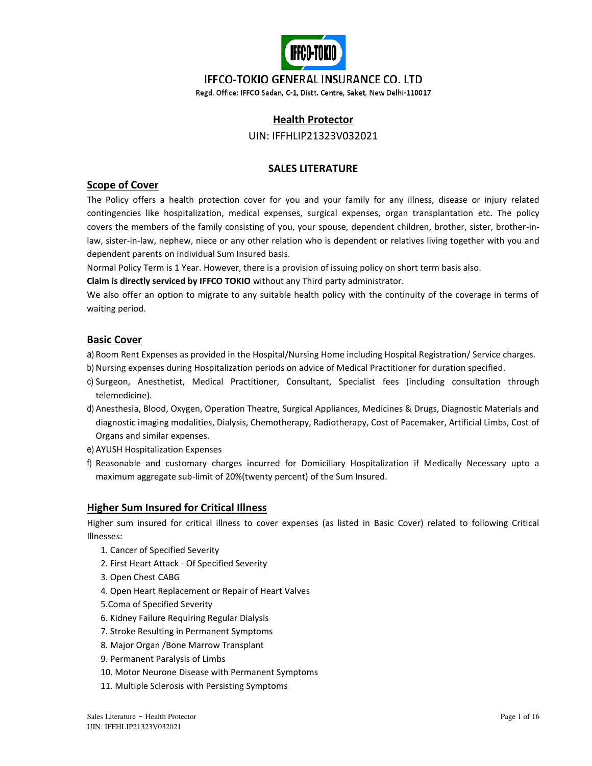

## **IFFCO-TOKIO GENERAL INSURANCE CO. LTD**

Regd. Office: IFFCO Sadan, C-1, Distt. Centre, Saket, New Delhi-110017

## **Health Protector**

UIN: IFFHLIP21323V032021

## **SALES LITERATURE**

### **Scope of Cover**

The Policy offers a health protection cover for you and your family for any illness, disease or injury related contingencies like hospitalization, medical expenses, surgical expenses, organ transplantation etc. The policy covers the members of the family consisting of you, your spouse, dependent children, brother, sister, brother-inlaw, sister-in-law, nephew, niece or any other relation who is dependent or relatives living together with you and dependent parents on individual Sum Insured basis.

Normal Policy Term is 1 Year. However, there is a provision of issuing policy on short term basis also.

**Claim is directly serviced by IFFCO TOKIO** without any Third party administrator.

We also offer an option to migrate to any suitable health policy with the continuity of the coverage in terms of waiting period.

### **Basic Cover**

a) Room Rent Expenses as provided in the Hospital/Nursing Home including Hospital Registration/ Service charges.

- b) Nursing expenses during Hospitalization periods on advice of Medical Practitioner for duration specified.
- c) Surgeon, Anesthetist, Medical Practitioner, Consultant, Specialist fees (including consultation through telemedicine).
- d) Anesthesia, Blood, Oxygen, Operation Theatre, Surgical Appliances, Medicines & Drugs, Diagnostic Materials and diagnostic imaging modalities, Dialysis, Chemotherapy, Radiotherapy, Cost of Pacemaker, Artificial Limbs, Cost of Organs and similar expenses.
- e) AYUSH Hospitalization Expenses
- f) Reasonable and customary charges incurred for Domiciliary Hospitalization if Medically Necessary upto a maximum aggregate sub-limit of 20%(twenty percent) of the Sum Insured.

## **Higher Sum Insured for Critical Illness**

Higher sum insured for critical illness to cover expenses (as listed in Basic Cover) related to following Critical Illnesses:

- 1. Cancer of Specified Severity
- 2. First Heart Attack Of Specified Severity
- 3. Open Chest CABG
- 4. Open Heart Replacement or Repair of Heart Valves
- 5.Coma of Specified Severity
- 6. Kidney Failure Requiring Regular Dialysis
- 7. Stroke Resulting in Permanent Symptoms
- 8. Major Organ /Bone Marrow Transplant
- 9. Permanent Paralysis of Limbs
- 10. Motor Neurone Disease with Permanent Symptoms
- 11. Multiple Sclerosis with Persisting Symptoms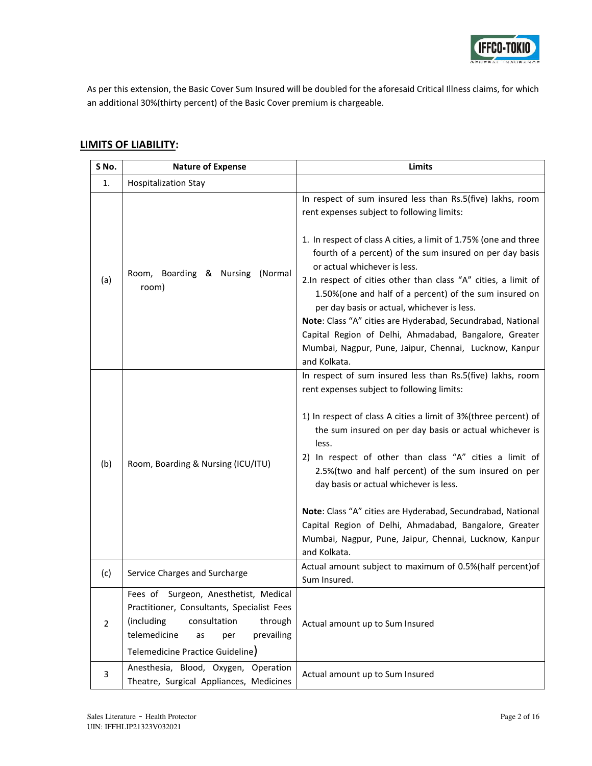

As per this extension, the Basic Cover Sum Insured will be doubled for the aforesaid Critical Illness claims, for which an additional 30%(thirty percent) of the Basic Cover premium is chargeable.

# **LIMITS OF LIABILITY:**

| S No.          | <b>Nature of Expense</b>                                                                                                                                                                                    | Limits                                                                                                                                                                                                                                                                                                                                                                                                                                                                                                                                                                                                          |  |  |  |  |  |
|----------------|-------------------------------------------------------------------------------------------------------------------------------------------------------------------------------------------------------------|-----------------------------------------------------------------------------------------------------------------------------------------------------------------------------------------------------------------------------------------------------------------------------------------------------------------------------------------------------------------------------------------------------------------------------------------------------------------------------------------------------------------------------------------------------------------------------------------------------------------|--|--|--|--|--|
| 1.             | <b>Hospitalization Stay</b>                                                                                                                                                                                 |                                                                                                                                                                                                                                                                                                                                                                                                                                                                                                                                                                                                                 |  |  |  |  |  |
|                |                                                                                                                                                                                                             | In respect of sum insured less than Rs.5(five) lakhs, room<br>rent expenses subject to following limits:                                                                                                                                                                                                                                                                                                                                                                                                                                                                                                        |  |  |  |  |  |
| (a)            | Room, Boarding & Nursing<br>(Normal<br>room)                                                                                                                                                                | 1. In respect of class A cities, a limit of 1.75% (one and three<br>fourth of a percent) of the sum insured on per day basis<br>or actual whichever is less.<br>2.In respect of cities other than class "A" cities, a limit of<br>1.50%(one and half of a percent) of the sum insured on<br>per day basis or actual, whichever is less.<br>Note: Class "A" cities are Hyderabad, Secundrabad, National<br>Capital Region of Delhi, Ahmadabad, Bangalore, Greater<br>Mumbai, Nagpur, Pune, Jaipur, Chennai, Lucknow, Kanpur<br>and Kolkata.                                                                      |  |  |  |  |  |
| (b)            | Room, Boarding & Nursing (ICU/ITU)                                                                                                                                                                          | In respect of sum insured less than Rs.5(five) lakhs, room<br>rent expenses subject to following limits:<br>1) In respect of class A cities a limit of 3%(three percent) of<br>the sum insured on per day basis or actual whichever is<br>less.<br>2) In respect of other than class "A" cities a limit of<br>2.5%(two and half percent) of the sum insured on per<br>day basis or actual whichever is less.<br>Note: Class "A" cities are Hyderabad, Secundrabad, National<br>Capital Region of Delhi, Ahmadabad, Bangalore, Greater<br>Mumbai, Nagpur, Pune, Jaipur, Chennai, Lucknow, Kanpur<br>and Kolkata. |  |  |  |  |  |
| (c)            | Service Charges and Surcharge                                                                                                                                                                               | Actual amount subject to maximum of 0.5%(half percent)of<br>Sum Insured.                                                                                                                                                                                                                                                                                                                                                                                                                                                                                                                                        |  |  |  |  |  |
| $\overline{2}$ | Fees of Surgeon, Anesthetist, Medical<br>Practitioner, Consultants, Specialist Fees<br>(including<br>consultation<br>through<br>telemedicine<br>prevailing<br>as<br>per<br>Telemedicine Practice Guideline) | Actual amount up to Sum Insured                                                                                                                                                                                                                                                                                                                                                                                                                                                                                                                                                                                 |  |  |  |  |  |
| 3              | Anesthesia, Blood, Oxygen, Operation<br>Theatre, Surgical Appliances, Medicines                                                                                                                             | Actual amount up to Sum Insured                                                                                                                                                                                                                                                                                                                                                                                                                                                                                                                                                                                 |  |  |  |  |  |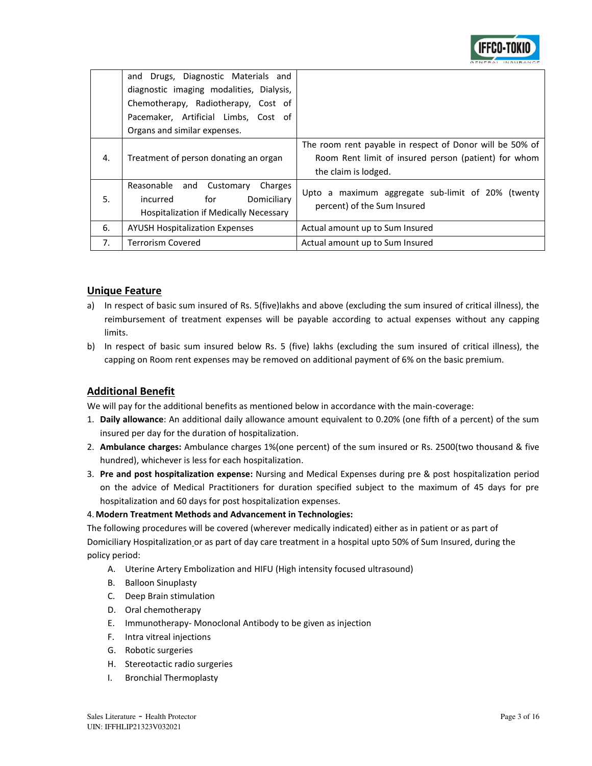

|    | and Drugs, Diagnostic Materials and<br>diagnostic imaging modalities, Dialysis, |                                                          |  |  |  |  |
|----|---------------------------------------------------------------------------------|----------------------------------------------------------|--|--|--|--|
|    | Chemotherapy, Radiotherapy, Cost of                                             |                                                          |  |  |  |  |
|    | Pacemaker, Artificial Limbs, Cost of                                            |                                                          |  |  |  |  |
|    | Organs and similar expenses.                                                    |                                                          |  |  |  |  |
|    |                                                                                 | The room rent payable in respect of Donor will be 50% of |  |  |  |  |
| 4. | Treatment of person donating an organ                                           | Room Rent limit of insured person (patient) for whom     |  |  |  |  |
|    |                                                                                 | the claim is lodged.                                     |  |  |  |  |
|    | Reasonable and<br>Customary<br>Charges                                          | Upto a maximum aggregate sub-limit of 20% (twenty        |  |  |  |  |
| 5. | Domiciliary<br>for<br>incurred                                                  | percent) of the Sum Insured                              |  |  |  |  |
|    | Hospitalization if Medically Necessary                                          |                                                          |  |  |  |  |
| 6. | <b>AYUSH Hospitalization Expenses</b>                                           | Actual amount up to Sum Insured                          |  |  |  |  |
| 7. | <b>Terrorism Covered</b>                                                        | Actual amount up to Sum Insured                          |  |  |  |  |

## **Unique Feature**

- a) In respect of basic sum insured of Rs. 5(five)lakhs and above (excluding the sum insured of critical illness), the reimbursement of treatment expenses will be payable according to actual expenses without any capping limits.
- b) In respect of basic sum insured below Rs. 5 (five) lakhs (excluding the sum insured of critical illness), the capping on Room rent expenses may be removed on additional payment of 6% on the basic premium.

## **Additional Benefit**

We will pay for the additional benefits as mentioned below in accordance with the main-coverage:

- 1. **Daily allowance**: An additional daily allowance amount equivalent to 0.20% (one fifth of a percent) of the sum insured per day for the duration of hospitalization.
- 2. **Ambulance charges:** Ambulance charges 1%(one percent) of the sum insured or Rs. 2500(two thousand & five hundred), whichever is less for each hospitalization.
- 3. **Pre and post hospitalization expense:** Nursing and Medical Expenses during pre & post hospitalization period on the advice of Medical Practitioners for duration specified subject to the maximum of 45 days for pre hospitalization and 60 days for post hospitalization expenses.

### 4.**Modern Treatment Methods and Advancement in Technologies:**

The following procedures will be covered (wherever medically indicated) either as in patient or as part of Domiciliary Hospitalization or as part of day care treatment in a hospital upto 50% of Sum Insured, during the policy period:

- A. Uterine Artery Embolization and HIFU (High intensity focused ultrasound)
- B. Balloon Sinuplasty
- C. Deep Brain stimulation
- D. Oral chemotherapy
- E. Immunotherapy- Monoclonal Antibody to be given as injection
- F. Intra vitreal injections
- G. Robotic surgeries
- H. Stereotactic radio surgeries
- I. Bronchial Thermoplasty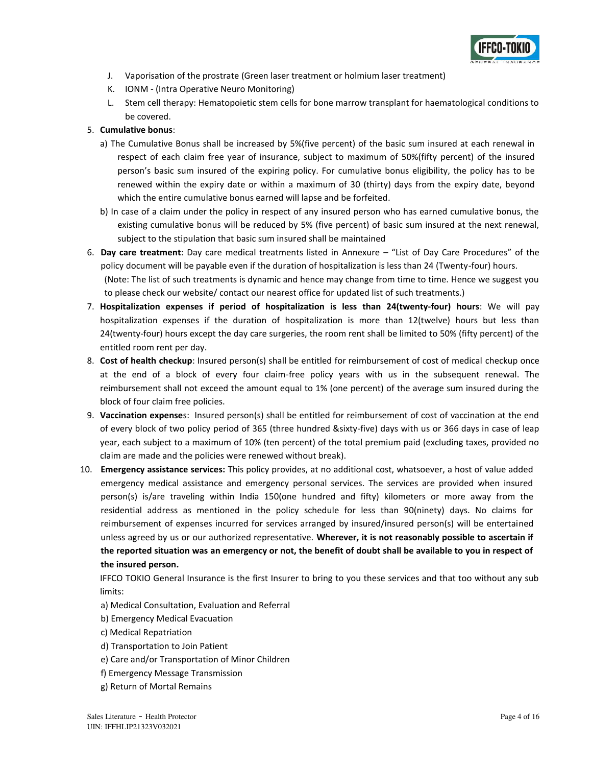

- J. Vaporisation of the prostrate (Green laser treatment or holmium laser treatment)
- K. IONM (Intra Operative Neuro Monitoring)
- L. Stem cell therapy: Hematopoietic stem cells for bone marrow transplant for haematological conditions to be covered.

### 5. **Cumulative bonus**:

- a) The Cumulative Bonus shall be increased by 5%(five percent) of the basic sum insured at each renewal in respect of each claim free year of insurance, subject to maximum of 50%(fifty percent) of the insured person's basic sum insured of the expiring policy. For cumulative bonus eligibility, the policy has to be renewed within the expiry date or within a maximum of 30 (thirty) days from the expiry date, beyond which the entire cumulative bonus earned will lapse and be forfeited.
- b) In case of a claim under the policy in respect of any insured person who has earned cumulative bonus, the existing cumulative bonus will be reduced by 5% (five percent) of basic sum insured at the next renewal, subject to the stipulation that basic sum insured shall be maintained
- 6. **Day care treatment**: Day care medical treatments listed in Annexure "List of Day Care Procedures" of the policy document will be payable even if the duration of hospitalization is less than 24 (Twenty-four) hours. (Note: The list of such treatments is dynamic and hence may change from time to time. Hence we suggest you to please check our website/ contact our nearest office for updated list of such treatments.)
- 7. **Hospitalization expenses if period of hospitalization is less than 24(twenty-four) hours**: We will pay hospitalization expenses if the duration of hospitalization is more than 12(twelve) hours but less than 24(twenty-four) hours except the day care surgeries, the room rent shall be limited to 50% (fifty percent) of the entitled room rent per day.
- 8. **Cost of health checkup**: Insured person(s) shall be entitled for reimbursement of cost of medical checkup once at the end of a block of every four claim-free policy years with us in the subsequent renewal. The reimbursement shall not exceed the amount equal to 1% (one percent) of the average sum insured during the block of four claim free policies.
- 9. **Vaccination expense**s: Insured person(s) shall be entitled for reimbursement of cost of vaccination at the end of every block of two policy period of 365 (three hundred &sixty-five) days with us or 366 days in case of leap year, each subject to a maximum of 10% (ten percent) of the total premium paid (excluding taxes, provided no claim are made and the policies were renewed without break).
- 10. **Emergency assistance services:** This policy provides, at no additional cost, whatsoever, a host of value added emergency medical assistance and emergency personal services. The services are provided when insured person(s) is/are traveling within India 150(one hundred and fifty) kilometers or more away from the residential address as mentioned in the policy schedule for less than 90(ninety) days. No claims for reimbursement of expenses incurred for services arranged by insured/insured person(s) will be entertained unless agreed by us or our authorized representative. **Wherever, it is not reasonably possible to ascertain if the reported situation was an emergency or not, the benefit of doubt shall be available to you in respect of the insured person.**

IFFCO TOKIO General Insurance is the first Insurer to bring to you these services and that too without any sub limits:

- a) Medical Consultation, Evaluation and Referral
- b) Emergency Medical Evacuation
- c) Medical Repatriation
- d) Transportation to Join Patient
- e) Care and/or Transportation of Minor Children
- f) Emergency Message Transmission
- g) Return of Mortal Remains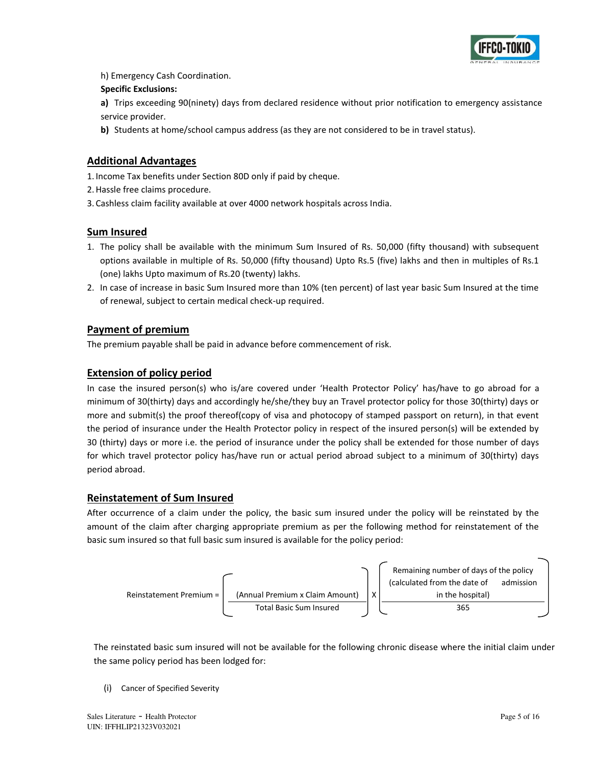

h) Emergency Cash Coordination.

### **Specific Exclusions:**

**a)** Trips exceeding 90(ninety) days from declared residence without prior notification to emergency assistance service provider.

**b)** Students at home/school campus address (as they are not considered to be in travel status).

## **Additional Advantages**

1. Income Tax benefits under Section 80D only if paid by cheque.

- 2.Hassle free claims procedure.
- 3. Cashless claim facility available at over 4000 network hospitals across India.

## **Sum Insured**

- 1. The policy shall be available with the minimum Sum Insured of Rs. 50,000 (fifty thousand) with subsequent options available in multiple of Rs. 50,000 (fifty thousand) Upto Rs.5 (five) lakhs and then in multiples of Rs.1 (one) lakhs Upto maximum of Rs.20 (twenty) lakhs.
- 2. In case of increase in basic Sum Insured more than 10% (ten percent) of last year basic Sum Insured at the time of renewal, subject to certain medical check-up required.

## **Payment of premium**

The premium payable shall be paid in advance before commencement of risk.

## **Extension of policy period**

In case the insured person(s) who is/are covered under 'Health Protector Policy' has/have to go abroad for a minimum of 30(thirty) days and accordingly he/she/they buy an Travel protector policy for those 30(thirty) days or more and submit(s) the proof thereof(copy of visa and photocopy of stamped passport on return), in that event the period of insurance under the Health Protector policy in respect of the insured person(s) will be extended by 30 (thirty) days or more i.e. the period of insurance under the policy shall be extended for those number of days for which travel protector policy has/have run or actual period abroad subject to a minimum of 30(thirty) days period abroad.

## **Reinstatement of Sum Insured**

After occurrence of a claim under the policy, the basic sum insured under the policy will be reinstated by the amount of the claim after charging appropriate premium as per the following method for reinstatement of the basic sum insured so that full basic sum insured is available for the policy period:



The reinstated basic sum insured will not be available for the following chronic disease where the initial claim under the same policy period has been lodged for:

(i) Cancer of Specified Severity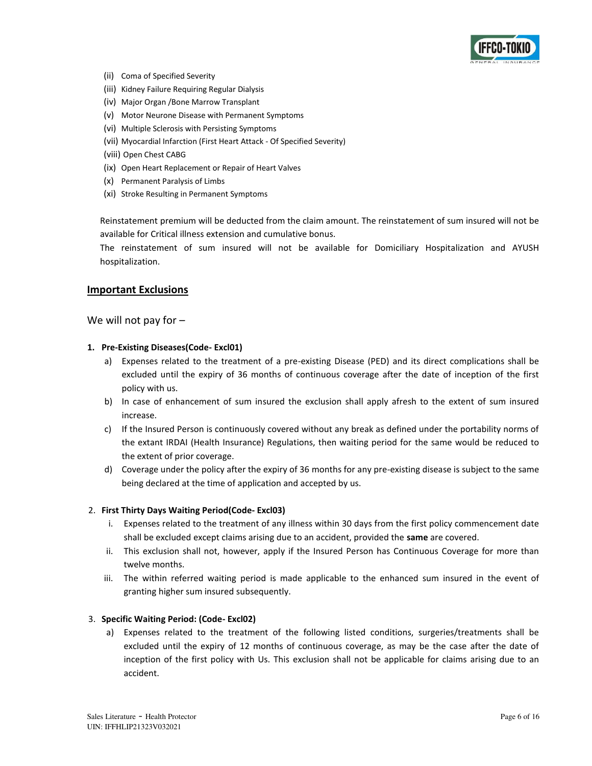

- (ii) Coma of Specified Severity
- (iii) Kidney Failure Requiring Regular Dialysis
- (iv) Major Organ /Bone Marrow Transplant
- (v) Motor Neurone Disease with Permanent Symptoms
- (vi) Multiple Sclerosis with Persisting Symptoms
- (vii) Myocardial Infarction (First Heart Attack Of Specified Severity)
- (viii) Open Chest CABG
- (ix) Open Heart Replacement or Repair of Heart Valves
- (x) Permanent Paralysis of Limbs
- (xi) Stroke Resulting in Permanent Symptoms

Reinstatement premium will be deducted from the claim amount. The reinstatement of sum insured will not be available for Critical illness extension and cumulative bonus.

The reinstatement of sum insured will not be available for Domiciliary Hospitalization and AYUSH hospitalization.

#### **Important Exclusions**

We will not pay for  $-$ 

#### **1. Pre-Existing Diseases(Code- Excl01)**

- a) Expenses related to the treatment of a pre-existing Disease (PED) and its direct complications shall be excluded until the expiry of 36 months of continuous coverage after the date of inception of the first policy with us.
- b) In case of enhancement of sum insured the exclusion shall apply afresh to the extent of sum insured increase.
- c) If the Insured Person is continuously covered without any break as defined under the portability norms of the extant IRDAI (Health Insurance) Regulations, then waiting period for the same would be reduced to the extent of prior coverage.
- d) Coverage under the policy after the expiry of 36 months for any pre-existing disease is subject to the same being declared at the time of application and accepted by us.

#### 2. **First Thirty Days Waiting Period(Code- Excl03)**

- i. Expenses related to the treatment of any illness within 30 days from the first policy commencement date shall be excluded except claims arising due to an accident, provided the **same** are covered.
- ii. This exclusion shall not, however, apply if the Insured Person has Continuous Coverage for more than twelve months.
- iii. The within referred waiting period is made applicable to the enhanced sum insured in the event of granting higher sum insured subsequently.

#### 3. **Specific Waiting Period: (Code- Excl02)**

a) Expenses related to the treatment of the following listed conditions, surgeries/treatments shall be excluded until the expiry of 12 months of continuous coverage, as may be the case after the date of inception of the first policy with Us. This exclusion shall not be applicable for claims arising due to an accident.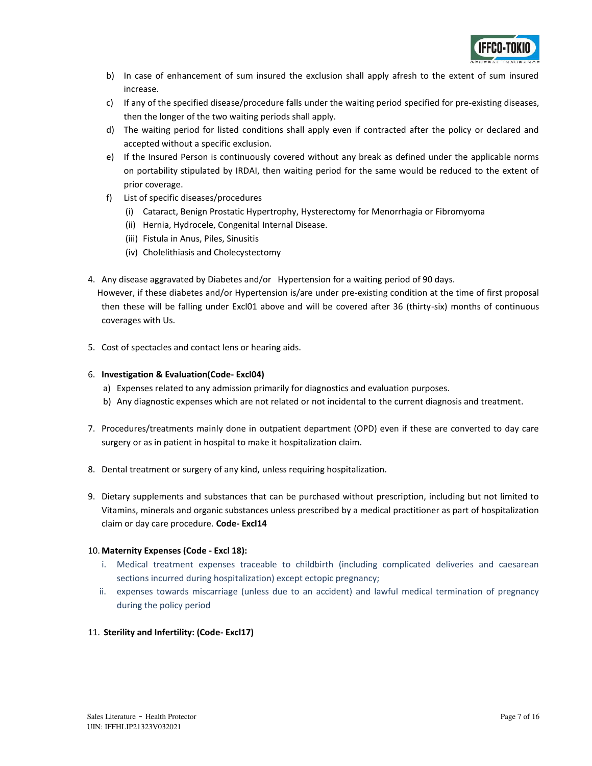

- b) In case of enhancement of sum insured the exclusion shall apply afresh to the extent of sum insured increase.
- c) If any of the specified disease/procedure falls under the waiting period specified for pre-existing diseases, then the longer of the two waiting periods shall apply.
- d) The waiting period for listed conditions shall apply even if contracted after the policy or declared and accepted without a specific exclusion.
- e) If the Insured Person is continuously covered without any break as defined under the applicable norms on portability stipulated by IRDAI, then waiting period for the same would be reduced to the extent of prior coverage.
- f) List of specific diseases/procedures
	- (i) Cataract, Benign Prostatic Hypertrophy, Hysterectomy for Menorrhagia or Fibromyoma
	- (ii) Hernia, Hydrocele, Congenital Internal Disease.
	- (iii) Fistula in Anus, Piles, Sinusitis
	- (iv) Cholelithiasis and Cholecystectomy
- 4. Any disease aggravated by Diabetes and/or Hypertension for a waiting period of 90 days.

 However, if these diabetes and/or Hypertension is/are under pre-existing condition at the time of first proposal then these will be falling under Excl01 above and will be covered after 36 (thirty-six) months of continuous coverages with Us.

5. Cost of spectacles and contact lens or hearing aids.

### 6. **Investigation & Evaluation(Code- Excl04)**

- a) Expenses related to any admission primarily for diagnostics and evaluation purposes.
- b) Any diagnostic expenses which are not related or not incidental to the current diagnosis and treatment.
- 7. Procedures/treatments mainly done in outpatient department (OPD) even if these are converted to day care surgery or as in patient in hospital to make it hospitalization claim.
- 8. Dental treatment or surgery of any kind, unless requiring hospitalization.
- 9. Dietary supplements and substances that can be purchased without prescription, including but not limited to Vitamins, minerals and organic substances unless prescribed by a medical practitioner as part of hospitalization claim or day care procedure. **Code- Excl14**

### 10. **Maternity Expenses (Code - Excl 18):**

- i. Medical treatment expenses traceable to childbirth (including complicated deliveries and caesarean sections incurred during hospitalization) except ectopic pregnancy;
- ii. expenses towards miscarriage (unless due to an accident) and lawful medical termination of pregnancy during the policy period
- 11. **Sterility and Infertility: (Code- Excl17)**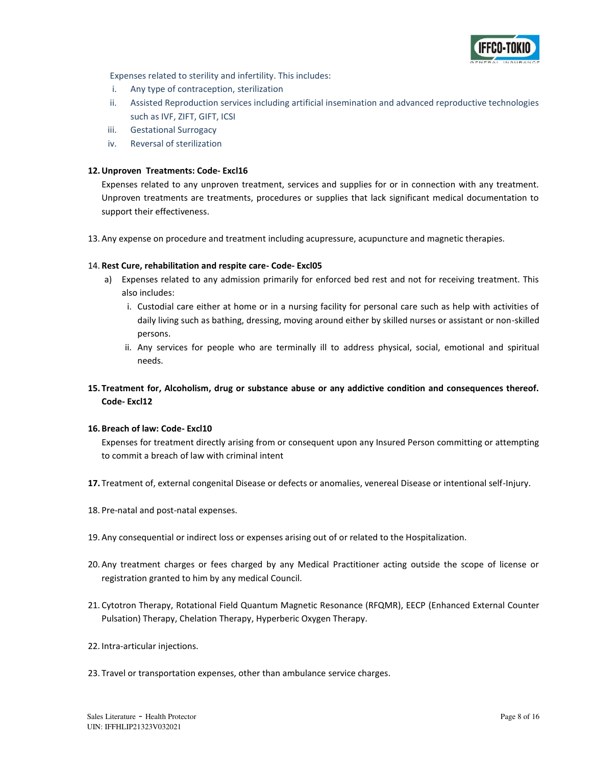

Expenses related to sterility and infertility. This includes:

- i. Any type of contraception, sterilization
- ii. Assisted Reproduction services including artificial insemination and advanced reproductive technologies such as IVF, ZIFT, GIFT, ICSI
- iii. Gestational Surrogacy
- iv. Reversal of sterilization

#### **12.Unproven Treatments: Code- Excl16**

Expenses related to any unproven treatment, services and supplies for or in connection with any treatment. Unproven treatments are treatments, procedures or supplies that lack significant medical documentation to support their effectiveness.

13. Any expense on procedure and treatment including acupressure, acupuncture and magnetic therapies.

#### 14. **Rest Cure, rehabilitation and respite care- Code- Excl05**

- a) Expenses related to any admission primarily for enforced bed rest and not for receiving treatment. This also includes:
	- i. Custodial care either at home or in a nursing facility for personal care such as help with activities of daily living such as bathing, dressing, moving around either by skilled nurses or assistant or non-skilled persons.
	- ii. Any services for people who are terminally ill to address physical, social, emotional and spiritual needs.
- **15. Treatment for, Alcoholism, drug or substance abuse or any addictive condition and consequences thereof. Code- Excl12**

#### **16. Breach of law: Code- Excl10**

Expenses for treatment directly arising from or consequent upon any Insured Person committing or attempting to commit a breach of law with criminal intent

- **17.** Treatment of, external congenital Disease or defects or anomalies, venereal Disease or intentional self-Injury.
- 18. Pre-natal and post-natal expenses.
- 19. Any consequential or indirect loss or expenses arising out of or related to the Hospitalization.
- 20. Any treatment charges or fees charged by any Medical Practitioner acting outside the scope of license or registration granted to him by any medical Council.
- 21. Cytotron Therapy, Rotational Field Quantum Magnetic Resonance (RFQMR), EECP (Enhanced External Counter Pulsation) Therapy, Chelation Therapy, Hyperberic Oxygen Therapy.
- 22. Intra-articular injections.
- 23. Travel or transportation expenses, other than ambulance service charges.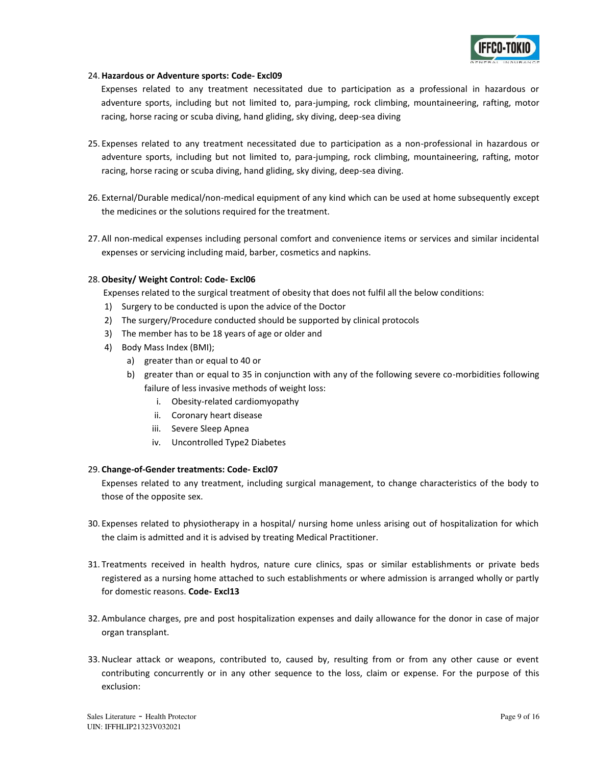#### 24.**Hazardous or Adventure sports: Code- Excl09**

Expenses related to any treatment necessitated due to participation as a professional in hazardous or adventure sports, including but not limited to, para-jumping, rock climbing, mountaineering, rafting, motor racing, horse racing or scuba diving, hand gliding, sky diving, deep-sea diving

- 25. Expenses related to any treatment necessitated due to participation as a non-professional in hazardous or adventure sports, including but not limited to, para-jumping, rock climbing, mountaineering, rafting, motor racing, horse racing or scuba diving, hand gliding, sky diving, deep-sea diving.
- 26. External/Durable medical/non-medical equipment of any kind which can be used at home subsequently except the medicines or the solutions required for the treatment.
- 27. All non-medical expenses including personal comfort and convenience items or services and similar incidental expenses or servicing including maid, barber, cosmetics and napkins.

#### 28.**Obesity/ Weight Control: Code- Excl06**

Expenses related to the surgical treatment of obesity that does not fulfil all the below conditions:

- 1) Surgery to be conducted is upon the advice of the Doctor
- 2) The surgery/Procedure conducted should be supported by clinical protocols
- 3) The member has to be 18 years of age or older and
- 4) Body Mass Index (BMI);
	- a) greater than or equal to 40 or
	- b) greater than or equal to 35 in conjunction with any of the following severe co-morbidities following failure of less invasive methods of weight loss:
		- i. Obesity-related cardiomyopathy
		- ii. Coronary heart disease
		- iii. Severe Sleep Apnea
		- iv. Uncontrolled Type2 Diabetes

#### 29. **Change-of-Gender treatments: Code- Excl07**

Expenses related to any treatment, including surgical management, to change characteristics of the body to those of the opposite sex.

- 30. Expenses related to physiotherapy in a hospital/ nursing home unless arising out of hospitalization for which the claim is admitted and it is advised by treating Medical Practitioner.
- 31. Treatments received in health hydros, nature cure clinics, spas or similar establishments or private beds registered as a nursing home attached to such establishments or where admission is arranged wholly or partly for domestic reasons. **Code- Excl13**
- 32. Ambulance charges, pre and post hospitalization expenses and daily allowance for the donor in case of major organ transplant.
- 33.Nuclear attack or weapons, contributed to, caused by, resulting from or from any other cause or event contributing concurrently or in any other sequence to the loss, claim or expense. For the purpose of this exclusion: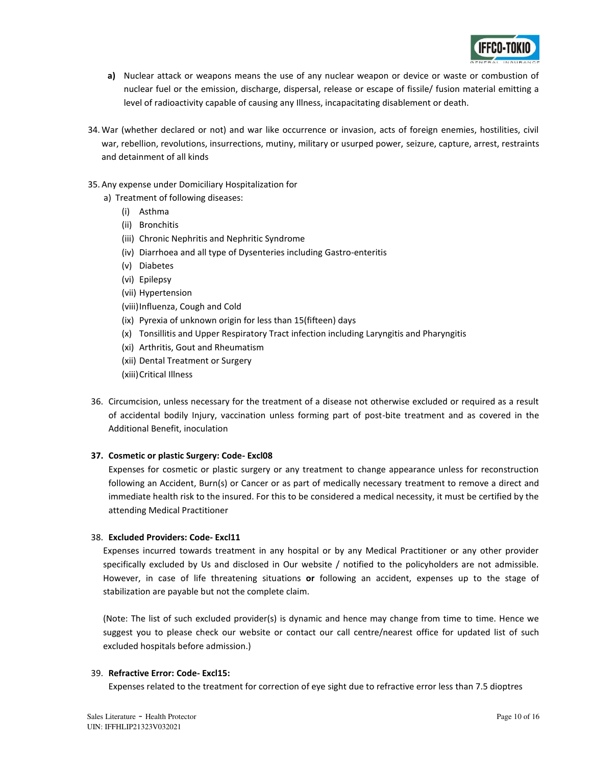

- **a)** Nuclear attack or weapons means the use of any nuclear weapon or device or waste or combustion of nuclear fuel or the emission, discharge, dispersal, release or escape of fissile/ fusion material emitting a level of radioactivity capable of causing any Illness, incapacitating disablement or death.
- 34. War (whether declared or not) and war like occurrence or invasion, acts of foreign enemies, hostilities, civil war, rebellion, revolutions, insurrections, mutiny, military or usurped power, seizure, capture, arrest, restraints and detainment of all kinds
- 35. Any expense under Domiciliary Hospitalization for
	- a) Treatment of following diseases:
		- (i) Asthma
		- (ii) Bronchitis
		- (iii) Chronic Nephritis and Nephritic Syndrome
		- (iv) Diarrhoea and all type of Dysenteries including Gastro-enteritis
		- (v) Diabetes
		- (vi) Epilepsy
		- (vii) Hypertension
		- (viii)Influenza, Cough and Cold
		- (ix) Pyrexia of unknown origin for less than 15(fifteen) days
		- (x) Tonsillitis and Upper Respiratory Tract infection including Laryngitis and Pharyngitis
		- (xi) Arthritis, Gout and Rheumatism
		- (xii) Dental Treatment or Surgery
		- (xiii)Critical Illness
- 36. Circumcision, unless necessary for the treatment of a disease not otherwise excluded or required as a result of accidental bodily Injury, vaccination unless forming part of post-bite treatment and as covered in the Additional Benefit, inoculation

#### **37. Cosmetic or plastic Surgery: Code- Excl08**

Expenses for cosmetic or plastic surgery or any treatment to change appearance unless for reconstruction following an Accident, Burn(s) or Cancer or as part of medically necessary treatment to remove a direct and immediate health risk to the insured. For this to be considered a medical necessity, it must be certified by the attending Medical Practitioner

### 38. **Excluded Providers: Code- Excl11**

Expenses incurred towards treatment in any hospital or by any Medical Practitioner or any other provider specifically excluded by Us and disclosed in Our website / notified to the policyholders are not admissible. However, in case of life threatening situations **or** following an accident, expenses up to the stage of stabilization are payable but not the complete claim.

(Note: The list of such excluded provider(s) is dynamic and hence may change from time to time. Hence we suggest you to please check our website or contact our call centre/nearest office for updated list of such excluded hospitals before admission.)

#### 39. **Refractive Error: Code- Excl15:**

Expenses related to the treatment for correction of eye sight due to refractive error less than 7.5 dioptres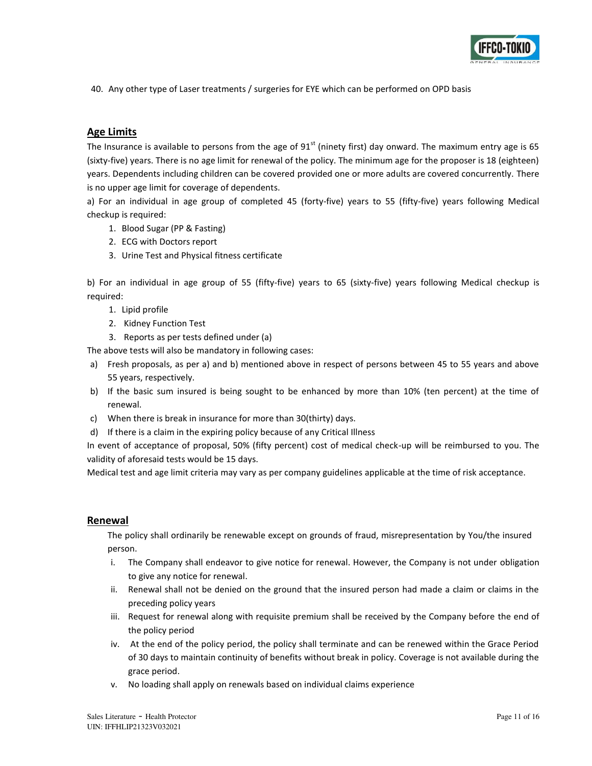

40. Any other type of Laser treatments / surgeries for EYE which can be performed on OPD basis

## **Age Limits**

The Insurance is available to persons from the age of 91<sup>st</sup> (ninety first) day onward. The maximum entry age is 65 (sixty-five) years. There is no age limit for renewal of the policy. The minimum age for the proposer is 18 (eighteen) years. Dependents including children can be covered provided one or more adults are covered concurrently. There is no upper age limit for coverage of dependents.

a) For an individual in age group of completed 45 (forty-five) years to 55 (fifty-five) years following Medical checkup is required:

- 1. Blood Sugar (PP & Fasting)
- 2. ECG with Doctors report
- 3. Urine Test and Physical fitness certificate

b) For an individual in age group of 55 (fifty-five) years to 65 (sixty-five) years following Medical checkup is required:

- 1. Lipid profile
- 2. Kidney Function Test
- 3. Reports as per tests defined under (a)

The above tests will also be mandatory in following cases:

- a) Fresh proposals, as per a) and b) mentioned above in respect of persons between 45 to 55 years and above 55 years, respectively.
- b) If the basic sum insured is being sought to be enhanced by more than 10% (ten percent) at the time of renewal.
- c) When there is break in insurance for more than 30(thirty) days.
- d) If there is a claim in the expiring policy because of any Critical Illness

In event of acceptance of proposal, 50% (fifty percent) cost of medical check-up will be reimbursed to you. The validity of aforesaid tests would be 15 days.

Medical test and age limit criteria may vary as per company guidelines applicable at the time of risk acceptance.

### **Renewal**

The policy shall ordinarily be renewable except on grounds of fraud, misrepresentation by You/the insured person.

- i. The Company shall endeavor to give notice for renewal. However, the Company is not under obligation to give any notice for renewal.
- ii. Renewal shall not be denied on the ground that the insured person had made a claim or claims in the preceding policy years
- iii. Request for renewal along with requisite premium shall be received by the Company before the end of the policy period
- iv. At the end of the policy period, the policy shall terminate and can be renewed within the Grace Period of 30 days to maintain continuity of benefits without break in policy. Coverage is not available during the grace period.
- v. No loading shall apply on renewals based on individual claims experience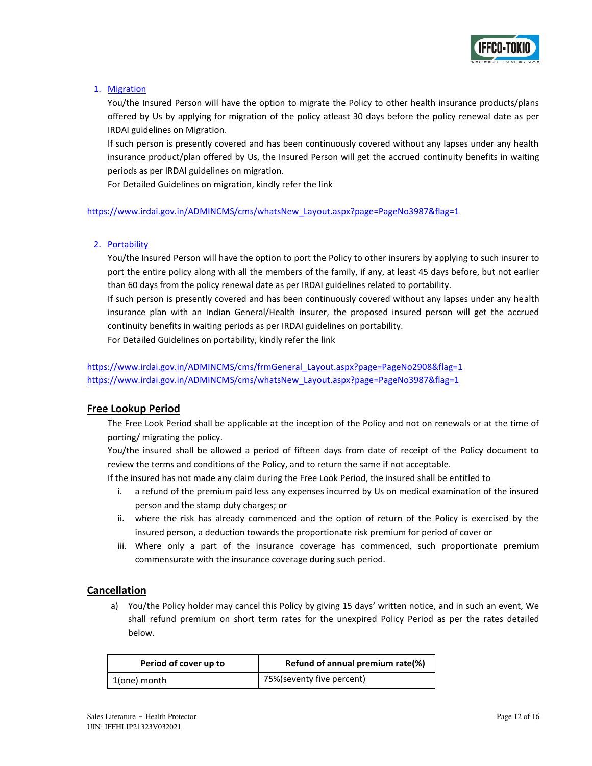

### 1. Migration

You/the Insured Person will have the option to migrate the Policy to other health insurance products/plans offered by Us by applying for migration of the policy atleast 30 days before the policy renewal date as per IRDAI guidelines on Migration.

If such person is presently covered and has been continuously covered without any lapses under any health insurance product/plan offered by Us, the Insured Person will get the accrued continuity benefits in waiting periods as per IRDAI guidelines on migration.

For Detailed Guidelines on migration, kindly refer the link

[https://www.irdai.gov.in/ADMINCMS/cms/whatsNew\\_Layout.aspx?page=PageNo3987&flag=1](https://www.irdai.gov.in/ADMINCMS/cms/whatsNew_Layout.aspx?page=PageNo3987&flag=1)

### 2. Portability

You/the Insured Person will have the option to port the Policy to other insurers by applying to such insurer to port the entire policy along with all the members of the family, if any, at least 45 days before, but not earlier than 60 days from the policy renewal date as per IRDAI guidelines related to portability.

If such person is presently covered and has been continuously covered without any lapses under any health insurance plan with an Indian General/Health insurer, the proposed insured person will get the accrued continuity benefits in waiting periods as per IRDAI guidelines on portability.

For Detailed Guidelines on portability, kindly refer the link

[https://www.irdai.gov.in/ADMINCMS/cms/frmGeneral\\_Layout.aspx?page=PageNo2908&flag=1](https://www.irdai.gov.in/ADMINCMS/cms/frmGeneral_Layout.aspx?page=PageNo2908&flag=1) [https://www.irdai.gov.in/ADMINCMS/cms/whatsNew\\_Layout.aspx?page=PageNo3987&flag=1](https://www.irdai.gov.in/ADMINCMS/cms/whatsNew_Layout.aspx?page=PageNo3987&flag=1)

## **Free Lookup Period**

The Free Look Period shall be applicable at the inception of the Policy and not on renewals or at the time of porting/ migrating the policy.

You/the insured shall be allowed a period of fifteen days from date of receipt of the Policy document to review the terms and conditions of the Policy, and to return the same if not acceptable.

If the insured has not made any claim during the Free Look Period, the insured shall be entitled to

- i. a refund of the premium paid less any expenses incurred by Us on medical examination of the insured person and the stamp duty charges; or
- ii. where the risk has already commenced and the option of return of the Policy is exercised by the insured person, a deduction towards the proportionate risk premium for period of cover or
- iii. Where only a part of the insurance coverage has commenced, such proportionate premium commensurate with the insurance coverage during such period.

## **Cancellation**

a) You/the Policy holder may cancel this Policy by giving 15 days' written notice, and in such an event, We shall refund premium on short term rates for the unexpired Policy Period as per the rates detailed below.

| Period of cover up to | Refund of annual premium rate(%) |  |  |  |  |  |
|-----------------------|----------------------------------|--|--|--|--|--|
| 1(one) month          | 75%(seventy five percent)        |  |  |  |  |  |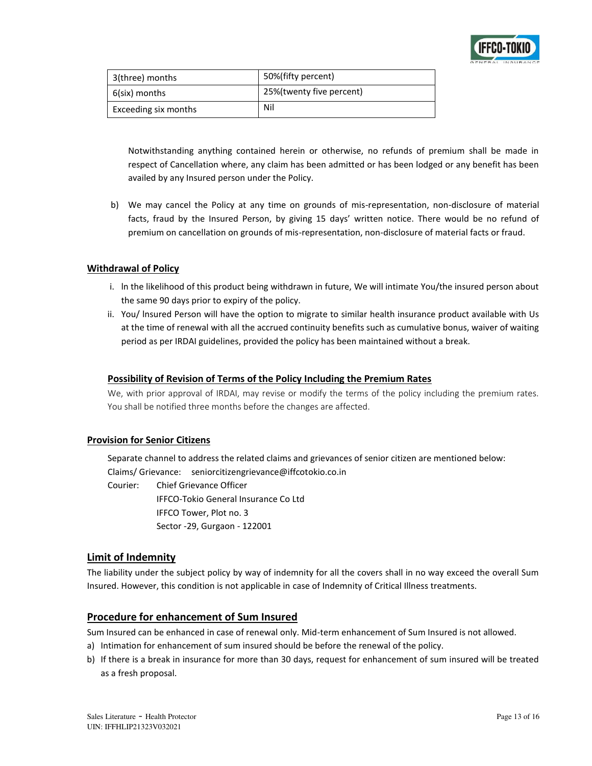

| 3(three) months      | 50%(fifty percent)       |
|----------------------|--------------------------|
| 6(six) months        | 25%(twenty five percent) |
| Exceeding six months | Nil                      |

Notwithstanding anything contained herein or otherwise, no refunds of premium shall be made in respect of Cancellation where, any claim has been admitted or has been lodged or any benefit has been availed by any Insured person under the Policy.

b) We may cancel the Policy at any time on grounds of mis-representation, non-disclosure of material facts, fraud by the Insured Person, by giving 15 days' written notice. There would be no refund of premium on cancellation on grounds of mis-representation, non-disclosure of material facts or fraud.

### **Withdrawal of Policy**

- i. ln the likelihood of this product being withdrawn in future, We will intimate You/the insured person about the same 90 days prior to expiry of the policy.
- ii. You/ lnsured Person will have the option to migrate to similar health insurance product available with Us at the time of renewal with all the accrued continuity benefits such as cumulative bonus, waiver of waiting period as per IRDAI guidelines, provided the policy has been maintained without a break.

### **Possibility of Revision of Terms of the Policy Including the Premium Rates**

We, with prior approval of IRDAI, may revise or modify the terms of the policy including the premium rates. You shall be notified three months before the changes are affected.

### **Provision for Senior Citizens**

Separate channel to address the related claims and grievances of senior citizen are mentioned below: Claims/ Grievance: seniorcitizengrievance@iffcotokio.co.in

Courier: Chief Grievance Officer IFFCO-Tokio General Insurance Co Ltd IFFCO Tower, Plot no. 3 Sector -29, Gurgaon - 122001

## **Limit of Indemnity**

The liability under the subject policy by way of indemnity for all the covers shall in no way exceed the overall Sum Insured. However, this condition is not applicable in case of Indemnity of Critical Illness treatments.

## **Procedure for enhancement of Sum Insured**

Sum Insured can be enhanced in case of renewal only. Mid-term enhancement of Sum Insured is not allowed.

- a) Intimation for enhancement of sum insured should be before the renewal of the policy.
- b) If there is a break in insurance for more than 30 days, request for enhancement of sum insured will be treated as a fresh proposal.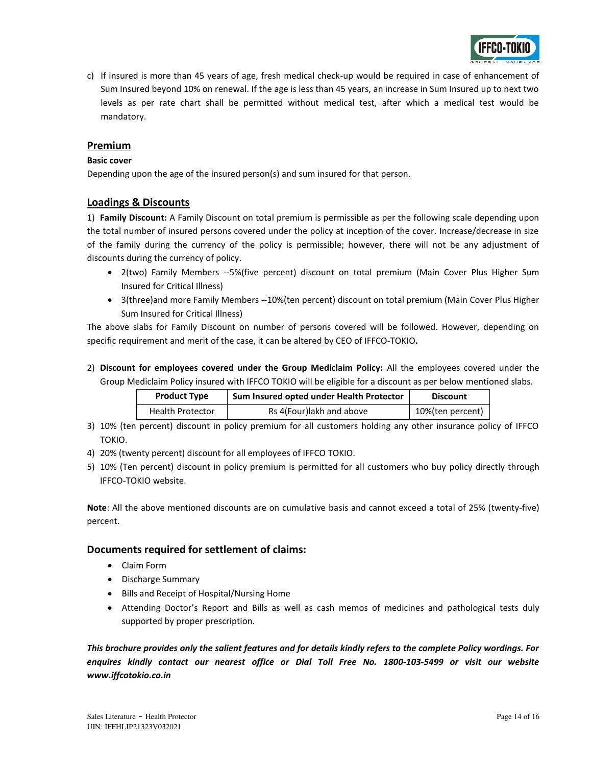

c) If insured is more than 45 years of age, fresh medical check-up would be required in case of enhancement of Sum Insured beyond 10% on renewal. If the age is less than 45 years, an increase in Sum Insured up to next two levels as per rate chart shall be permitted without medical test, after which a medical test would be mandatory.

## **Premium**

### **Basic cover**

Depending upon the age of the insured person(s) and sum insured for that person.

## **Loadings & Discounts**

1) **Family Discount:** A Family Discount on total premium is permissible as per the following scale depending upon the total number of insured persons covered under the policy at inception of the cover. Increase/decrease in size of the family during the currency of the policy is permissible; however, there will not be any adjustment of discounts during the currency of policy.

- 2(two) Family Members --5%(five percent) discount on total premium (Main Cover Plus Higher Sum Insured for Critical Illness)
- 3(three)and more Family Members --10%(ten percent) discount on total premium (Main Cover Plus Higher Sum Insured for Critical Illness)

The above slabs for Family Discount on number of persons covered will be followed. However, depending on specific requirement and merit of the case, it can be altered by CEO of IFFCO-TOKIO**.** 

2) **Discount for employees covered under the Group Mediclaim Policy:** All the employees covered under the Group Mediclaim Policy insured with IFFCO TOKIO will be eligible for a discount as per below mentioned slabs.

| <b>Product Type</b>     | Sum Insured opted under Health Protector | <b>Discount</b>  |  |  |
|-------------------------|------------------------------------------|------------------|--|--|
| <b>Health Protector</b> | Rs 4(Four)lakh and above                 | 10%(ten percent) |  |  |

- 3) 10% (ten percent) discount in policy premium for all customers holding any other insurance policy of IFFCO TOKIO.
- 4) 20% (twenty percent) discount for all employees of IFFCO TOKIO.
- 5) 10% (Ten percent) discount in policy premium is permitted for all customers who buy policy directly through IFFCO-TOKIO website.

**Note**: All the above mentioned discounts are on cumulative basis and cannot exceed a total of 25% (twenty-five) percent.

## **Documents required for settlement of claims:**

- Claim Form
- Discharge Summary
- Bills and Receipt of Hospital/Nursing Home
- Attending Doctor's Report and Bills as well as cash memos of medicines and pathological tests duly supported by proper prescription.

*This brochure provides only the salient features and for details kindly refers to the complete Policy wordings. For enquires kindly contact our nearest office or Dial Toll Free No. 1800-103-5499 or visit our website www.iffcotokio.co.in*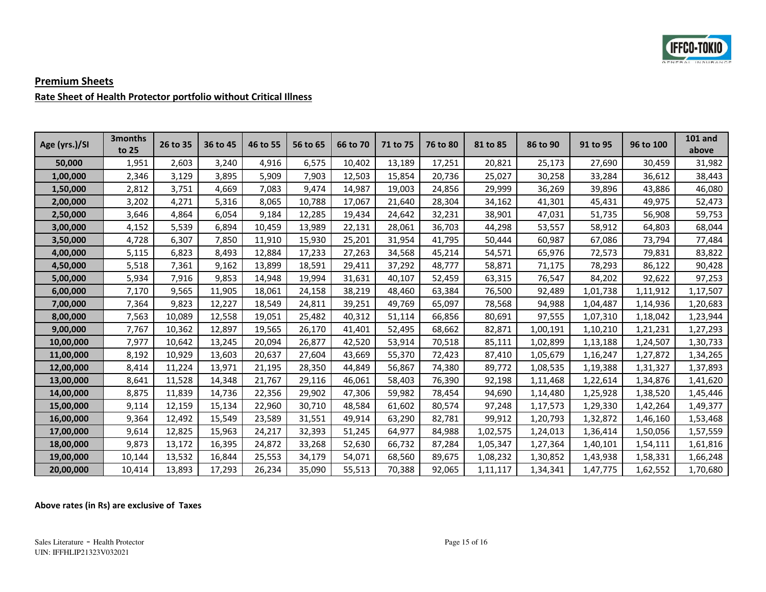

# **Premium Sheets Rate Sheet of Health Protector portfolio without Critical Illness**

| Age (yrs.)/SI | 3 <sub>months</sub><br>to 25 | 26 to 35 | 36 to 45 | 46 to 55 | 56 to 65 | 66 to 70 | 71 to 75 | 76 to 80 | 81 to 85 | 86 to 90 | 91 to 95 | 96 to 100 | <b>101 and</b><br>above |
|---------------|------------------------------|----------|----------|----------|----------|----------|----------|----------|----------|----------|----------|-----------|-------------------------|
| 50,000        | 1,951                        | 2,603    | 3,240    | 4,916    | 6,575    | 10,402   | 13,189   | 17,251   | 20,821   | 25,173   | 27,690   | 30,459    | 31,982                  |
| 1,00,000      | 2,346                        | 3,129    | 3.895    | 5,909    | 7,903    | 12,503   | 15,854   | 20,736   | 25,027   | 30,258   | 33,284   | 36,612    | 38,443                  |
| 1,50,000      | 2,812                        | 3,751    | 4,669    | 7,083    | 9,474    | 14,987   | 19,003   | 24,856   | 29,999   | 36,269   | 39,896   | 43,886    | 46,080                  |
| 2,00,000      | 3,202                        | 4.271    | 5,316    | 8,065    | 10.788   | 17,067   | 21.640   | 28,304   | 34,162   | 41.301   | 45,431   | 49,975    | 52,473                  |
| 2,50,000      | 3,646                        | 4,864    | 6,054    | 9,184    | 12,285   | 19,434   | 24,642   | 32,231   | 38,901   | 47,031   | 51,735   | 56,908    | 59,753                  |
| 3,00,000      | 4,152                        | 5,539    | 6,894    | 10,459   | 13,989   | 22,131   | 28,061   | 36,703   | 44,298   | 53,557   | 58,912   | 64,803    | 68,044                  |
| 3,50,000      | 4,728                        | 6.307    | 7,850    | 11,910   | 15,930   | 25,201   | 31,954   | 41,795   | 50,444   | 60,987   | 67,086   | 73,794    | 77,484                  |
| 4,00,000      | 5,115                        | 6,823    | 8,493    | 12,884   | 17,233   | 27,263   | 34,568   | 45,214   | 54,571   | 65,976   | 72,573   | 79,831    | 83,822                  |
| 4,50,000      | 5,518                        | 7,361    | 9,162    | 13,899   | 18,591   | 29,411   | 37,292   | 48,777   | 58,871   | 71,175   | 78,293   | 86,122    | 90,428                  |
| 5,00,000      | 5,934                        | 7,916    | 9,853    | 14,948   | 19,994   | 31,631   | 40.107   | 52,459   | 63,315   | 76,547   | 84,202   | 92,622    | 97,253                  |
| 6,00,000      | 7,170                        | 9,565    | 11,905   | 18,061   | 24,158   | 38,219   | 48,460   | 63,384   | 76,500   | 92,489   | 1,01,738 | 1,11,912  | 1,17,507                |
| 7,00,000      | 7,364                        | 9,823    | 12,227   | 18,549   | 24,811   | 39,251   | 49.769   | 65,097   | 78,568   | 94,988   | 1,04,487 | 1,14,936  | 1,20,683                |
| 8,00,000      | 7,563                        | 10,089   | 12,558   | 19,051   | 25,482   | 40,312   | 51,114   | 66,856   | 80,691   | 97,555   | 1,07,310 | 1,18,042  | 1,23,944                |
| 9,00,000      | 7,767                        | 10,362   | 12,897   | 19,565   | 26,170   | 41,401   | 52,495   | 68,662   | 82,871   | 1,00,191 | 1,10,210 | 1,21,231  | 1,27,293                |
| 10,00,000     | 7,977                        | 10,642   | 13,245   | 20,094   | 26,877   | 42,520   | 53,914   | 70,518   | 85,111   | 1,02,899 | 1,13,188 | 1,24,507  | 1,30,733                |
| 11,00,000     | 8,192                        | 10,929   | 13.603   | 20,637   | 27,604   | 43,669   | 55,370   | 72,423   | 87,410   | 1,05,679 | 1,16,247 | 1,27,872  | 1,34,265                |
| 12,00,000     | 8,414                        | 11,224   | 13,971   | 21,195   | 28,350   | 44,849   | 56,867   | 74,380   | 89,772   | 1,08,535 | 1,19,388 | 1,31,327  | 1,37,893                |
| 13,00,000     | 8,641                        | 11,528   | 14,348   | 21,767   | 29,116   | 46,061   | 58,403   | 76,390   | 92,198   | 1,11,468 | 1,22,614 | 1,34,876  | 1,41,620                |
| 14,00,000     | 8,875                        | 11,839   | 14,736   | 22,356   | 29,902   | 47,306   | 59,982   | 78,454   | 94,690   | 1,14,480 | 1,25,928 | 1,38,520  | 1,45,446                |
| 15,00,000     | 9,114                        | 12,159   | 15,134   | 22,960   | 30,710   | 48,584   | 61,602   | 80,574   | 97,248   | 1,17,573 | 1,29,330 | 1,42,264  | 1,49,377                |
| 16,00,000     | 9,364                        | 12,492   | 15,549   | 23,589   | 31,551   | 49,914   | 63,290   | 82,781   | 99,912   | 1,20,793 | 1,32,872 | 1,46,160  | 1,53,468                |
| 17,00,000     | 9,614                        | 12,825   | 15,963   | 24,217   | 32,393   | 51,245   | 64,977   | 84,988   | 1,02,575 | 1,24,013 | 1,36,414 | 1,50,056  | 1,57,559                |
| 18,00,000     | 9,873                        | 13,172   | 16,395   | 24,872   | 33,268   | 52,630   | 66,732   | 87,284   | 1,05,347 | 1,27,364 | 1,40,101 | 1,54,111  | 1,61,816                |
| 19,00,000     | 10,144                       | 13,532   | 16,844   | 25,553   | 34,179   | 54,071   | 68,560   | 89,675   | 1,08,232 | 1,30,852 | 1,43,938 | 1,58,331  | 1,66,248                |
| 20,00,000     | 10,414                       | 13,893   | 17,293   | 26,234   | 35,090   | 55,513   | 70,388   | 92,065   | 1,11,117 | 1,34,341 | 1,47,775 | 1,62,552  | 1,70,680                |

## **Above rates (in Rs) are exclusive of Taxes**